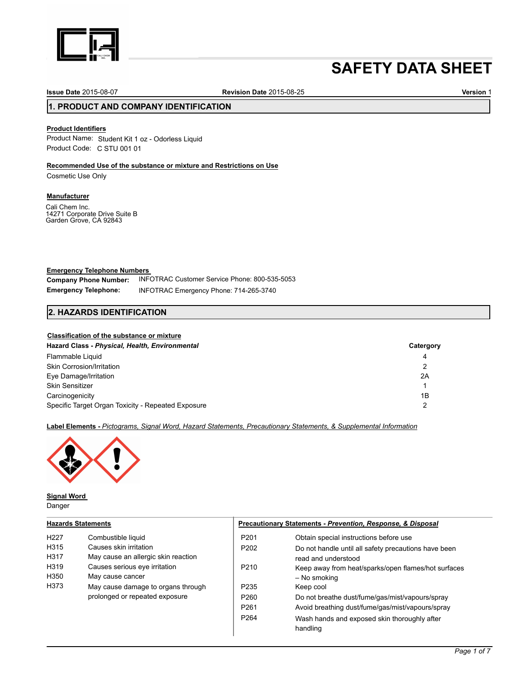

# **SAFETY DATA SHEET**

**Issue Date** 2015-08-07 **Revision Date** 2015-08-25 **Version** 1

# **1. PRODUCT AND COMPANY IDENTIFICATION**

# **Product Identifiers**

Product Name: Student Kit 1 oz - Odorless Liquid Product Code: C STU 001 01

# **Recommended Use of the substance or mixture and Restrictions on Use**

Cosmetic Use Only

### **Manufacturer**

Cali Chem Inc. 14271 Corporate Drive Suite B Garden Grove, CA 92843

# **Emergency Telephone Numbers**

**Company Phone Number: Emergency Telephone:**  INFOTRAC Customer Service Phone: 800-535-5053 INFOTRAC Emergency Phone: 714-265-3740

# **2. HAZARDS IDENTIFICATION**

#### **Classification of the substance or mixture**

| Hazard Class - Physical, Health, Environmental     | Catergory |
|----------------------------------------------------|-----------|
| Flammable Liquid                                   | 4         |
| Skin Corrosion/Irritation                          | 2         |
| Eye Damage/Irritation                              | 2A        |
| <b>Skin Sensitizer</b>                             |           |
| Carcinogenicity                                    | 1B        |
| Specific Target Organ Toxicity - Repeated Exposure |           |

### **Label Elements -** *Pictograms, Signal Word, Hazard Statements, Precautionary Statements, & Supplemental Information*



**Signal Word** 

Danger

| <b>Hazards Statements</b>                                |                                                                                                                                                                                |                                                                              | Precautionary Statements - Prevention, Response, & Disposal                                                                                                                                               |  |  |
|----------------------------------------------------------|--------------------------------------------------------------------------------------------------------------------------------------------------------------------------------|------------------------------------------------------------------------------|-----------------------------------------------------------------------------------------------------------------------------------------------------------------------------------------------------------|--|--|
| H <sub>227</sub><br>H315<br>H317<br>H319<br>H350<br>H373 | Combustible liquid<br>Causes skin irritation<br>May cause an allergic skin reaction<br>Causes serious eye irritation<br>May cause cancer<br>May cause damage to organs through | P <sub>201</sub><br>P <sub>202</sub><br>P <sub>210</sub><br>P <sub>235</sub> | Obtain special instructions before use<br>Do not handle until all safety precautions have been<br>read and understood<br>Keep away from heat/sparks/open flames/hot surfaces<br>– No smoking<br>Keep cool |  |  |
|                                                          | prolonged or repeated exposure                                                                                                                                                 | P <sub>260</sub><br>P <sub>261</sub><br>P <sub>264</sub>                     | Do not breathe dust/fume/gas/mist/vapours/spray<br>Avoid breathing dust/fume/gas/mist/vapours/spray<br>Wash hands and exposed skin thoroughly after<br>handling                                           |  |  |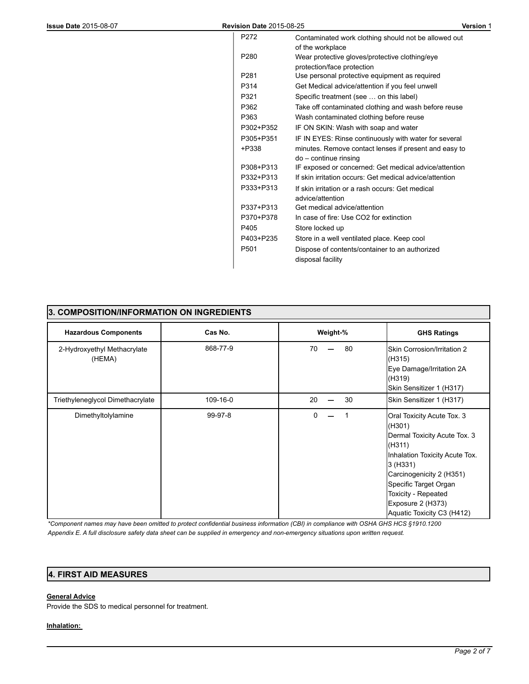| P272             | Contaminated work clothing should not be allowed out    |
|------------------|---------------------------------------------------------|
|                  | of the workplace                                        |
| P <sub>280</sub> | Wear protective gloves/protective clothing/eye          |
|                  | protection/face protection                              |
| P <sub>281</sub> | Use personal protective equipment as required           |
| P314             | Get Medical advice/attention if you feel unwell         |
| P321             | Specific treatment (see  on this label)                 |
| P362             | Take off contaminated clothing and wash before reuse    |
| P363             | Wash contaminated clothing before reuse                 |
| P302+P352        | IF ON SKIN: Wash with soap and water                    |
| P305+P351        | IF IN EYES: Rinse continuously with water for several   |
| +P338            | minutes. Remove contact lenses if present and easy to   |
|                  | $do$ – continue rinsing                                 |
| P308+P313        | IF exposed or concerned: Get medical advice/attention   |
| P332+P313        | If skin irritation occurs: Get medical advice/attention |
| P333+P313        | If skin irritation or a rash occurs: Get medical        |
|                  | advice/attention                                        |
| P337+P313        | Get medical advice/attention                            |
| P370+P378        | In case of fire: Use CO2 for extinction                 |
| P405             | Store locked up                                         |
| P403+P235        | Store in a well ventilated place. Keep cool             |
| P <sub>501</sub> | Dispose of contents/container to an authorized          |
|                  | disposal facility                                       |

| 3. COMPOSITION/INFORMATION ON INGREDIENTS |          |          |                                                                                                                                                                                                                                                             |  |
|-------------------------------------------|----------|----------|-------------------------------------------------------------------------------------------------------------------------------------------------------------------------------------------------------------------------------------------------------------|--|
| <b>Hazardous Components</b>               | Cas No.  | Weight-% | <b>GHS Ratings</b>                                                                                                                                                                                                                                          |  |
| 2-Hydroxyethyl Methacrylate<br>(HEMA)     | 868-77-9 | 80<br>70 | Skin Corrosion/Irritation 2<br>(H315)<br>Eye Damage/Irritation 2A<br>(H319)<br>Skin Sensitizer 1 (H317)                                                                                                                                                     |  |
| Triethyleneglycol Dimethacrylate          | 109-16-0 | 30<br>20 | Skin Sensitizer 1 (H317)                                                                                                                                                                                                                                    |  |
| Dimethyltolylamine                        | 99-97-8  | 0        | Oral Toxicity Acute Tox. 3<br>(H301)<br>Dermal Toxicity Acute Tox. 3<br>(H311)<br>Inhalation Toxicity Acute Tox.<br>3 (H331)<br>Carcinogenicity 2 (H351)<br>Specific Target Organ<br>Toxicity - Repeated<br>Exposure 2 (H373)<br>Aquatic Toxicity C3 (H412) |  |

*\*Component names may have been omitted to protect confidential business information (CBI) in compliance with OSHA GHS HCS §1910.1200 Appendix E. A full disclosure safety data sheet can be supplied in emergency and non-emergency situations upon written request.* 

# **4. FIRST AID MEASURES**

# **General Advice**

Provide the SDS to medical personnel for treatment.

# **Inhalation:**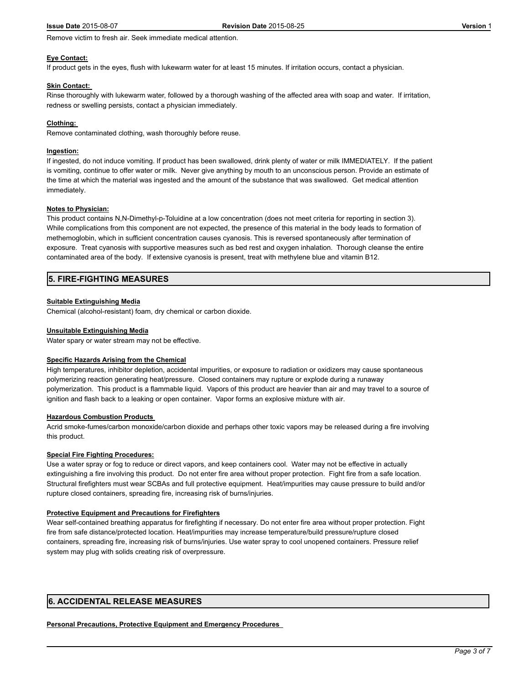Remove victim to fresh air. Seek immediate medical attention.

#### **Eye Contact:**

If product gets in the eyes, flush with lukewarm water for at least 15 minutes. If irritation occurs, contact a physician.

#### **Skin Contact:**

Rinse thoroughly with lukewarm water, followed by a thorough washing of the affected area with soap and water. If irritation, redness or swelling persists, contact a physician immediately.

#### **Clothing:**

Remove contaminated clothing, wash thoroughly before reuse.

#### **Ingestion:**

If ingested, do not induce vomiting. If product has been swallowed, drink plenty of water or milk IMMEDIATELY. If the patient is vomiting, continue to offer water or milk. Never give anything by mouth to an unconscious person. Provide an estimate of the time at which the material was ingested and the amount of the substance that was swallowed. Get medical attention immediately.

#### **Notes to Physician:**

This product contains N,N-Dimethyl-p-Toluidine at a low concentration (does not meet criteria for reporting in section 3). While complications from this component are not expected, the presence of this material in the body leads to formation of methemoglobin, which in sufficient concentration causes cyanosis. This is reversed spontaneously after termination of exposure. Treat cyanosis with supportive measures such as bed rest and oxygen inhalation. Thorough cleanse the entire contaminated area of the body. If extensive cyanosis is present, treat with methylene blue and vitamin B12.

# **5. FIRE-FIGHTING MEASURES**

#### **Suitable Extinguishing Media**

Chemical (alcohol-resistant) foam, dry chemical or carbon dioxide.

#### **Unsuitable Extinguishing Media**

Water spary or water stream may not be effective.

#### **Specific Hazards Arising from the Chemical**

High temperatures, inhibitor depletion, accidental impurities, or exposure to radiation or oxidizers may cause spontaneous polymerizing reaction generating heat/pressure. Closed containers may rupture or explode during a runaway polymerization. This product is a flammable liquid. Vapors of this product are heavier than air and may travel to a source of ignition and flash back to a leaking or open container. Vapor forms an explosive mixture with air.

#### **Hazardous Combustion Products**

Acrid smoke-fumes/carbon monoxide/carbon dioxide and perhaps other toxic vapors may be released during a fire involving this product.

# **Special Fire Fighting Procedures:**

Use a water spray or fog to reduce or direct vapors, and keep containers cool. Water may not be effective in actually extinguishing a fire involving this product. Do not enter fire area without proper protection. Fight fire from a safe location. Structural firefighters must wear SCBAs and full protective equipment. Heat/impurities may cause pressure to build and/or rupture closed containers, spreading fire, increasing risk of burns/injuries.

#### **Protective Equipment and Precautions for Firefighters**

Wear self-contained breathing apparatus for firefighting if necessary. Do not enter fire area without proper protection. Fight fire from safe distance/protected location. Heat/impurities may increase temperature/build pressure/rupture closed containers, spreading fire, increasing risk of burns/injuries. Use water spray to cool unopened containers. Pressure relief system may plug with solids creating risk of overpressure.

# **6. ACCIDENTAL RELEASE MEASURES**

#### **Personal Precautions, Protective Equipment and Emergency Procedures**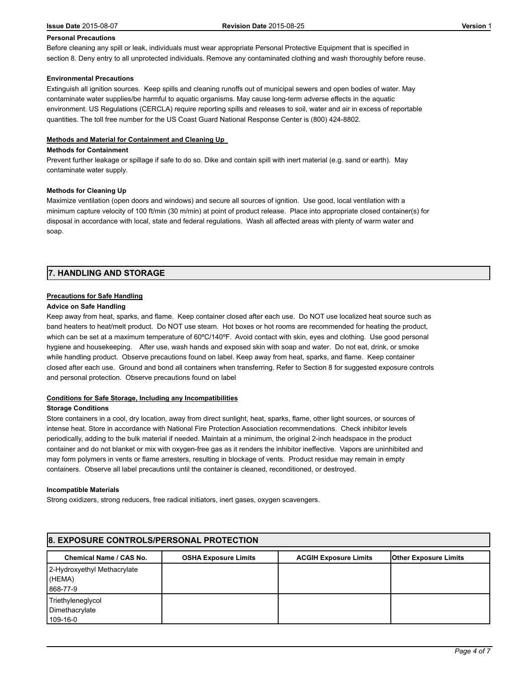#### **Personal Precautions**

Before cleaning any spill or leak, individuals must wear appropriate Personal Protective Equipment that is specified in section 8. Deny entry to all unprotected individuals. Remove any contaminated clothing and wash thoroughly before reuse.

#### **Environmental Precautions**

Extinguish all ignition sources. Keep spills and cleaning runoffs out of municipal sewers and open bodies of water. May contaminate water supplies/be harmful to aquatic organisms. May cause long-term adverse effects in the aquatic environment. US Regulations (CERCLA) require reporting spills and releases to soil, water and air in excess of reportable quantities. The toll free number for the US Coast Guard National Response Center is (800) 424-8802.

# **Methods and Material for Containment and Cleaning Up**

#### **Methods for Containment**

Prevent further leakage or spillage if safe to do so. Dike and contain spill with inert material (e.g. sand or earth). May contaminate water supply.

#### **Methods for Cleaning Up**

Maximize ventilation (open doors and windows) and secure all sources of ignition. Use good, local ventilation with a minimum capture velocity of 100 ft/min (30 m/min) at point of product release. Place into appropriate closed container(s) for disposal in accordance with local, state and federal regulations. Wash all affected areas with plenty of warm water and soap.

# **7. HANDLING AND STORAGE**

#### **Precautions for Safe Handling**

#### **Advice on Safe Handling**

Keep away from heat, sparks, and flame. Keep container closed after each use. Do NOT use localized heat source such as band heaters to heat/melt product. Do NOT use steam. Hot boxes or hot rooms are recommended for heating the product, which can be set at a maximum temperature of 60°C/140°F. Avoid contact with skin, eyes and clothing. Use good personal hygiene and housekeeping. After use, wash hands and exposed skin with soap and water. Do not eat, drink, or smoke while handling product. Observe precautions found on label. Keep away from heat, sparks, and flame. Keep container closed after each use. Ground and bond all containers when transferring. Refer to Section 8 for suggested exposure controls and personal protection. Observe precautions found on label

#### **Conditions for Safe Storage, Including any Incompatibilities**

#### **Storage Conditions**

Store containers in a cool, dry location, away from direct sunlight, heat, sparks, flame, other light sources, or sources of intense heat. Store in accordance with National Fire Protection Association recommendations. Check inhibitor levels periodically, adding to the bulk material if needed. Maintain at a minimum, the original 2-inch headspace in the product container and do not blanket or mix with oxygen-free gas as it renders the inhibitor ineffective. Vapors are uninhibited and may form polymers in vents or flame arresters, resulting in blockage of vents. Product residue may remain in empty containers. Observe all label precautions until the container is cleaned, reconditioned, or destroyed.

#### **Incompatible Materials**

Strong oxidizers, strong reducers, free radical initiators, inert gases, oxygen scavengers.

| <b>8. EXPOSURE CONTROLS/PERSONAL PROTECTION</b>   |                             |                              |                              |  |
|---------------------------------------------------|-----------------------------|------------------------------|------------------------------|--|
| Chemical Name / CAS No.                           | <b>OSHA Exposure Limits</b> | <b>ACGIH Exposure Limits</b> | <b>Other Exposure Limits</b> |  |
| 2-Hydroxyethyl Methacrylate<br>(HEMA)<br>868-77-9 |                             |                              |                              |  |
| Triethyleneglycol<br>Dimethacrylate<br>109-16-0   |                             |                              |                              |  |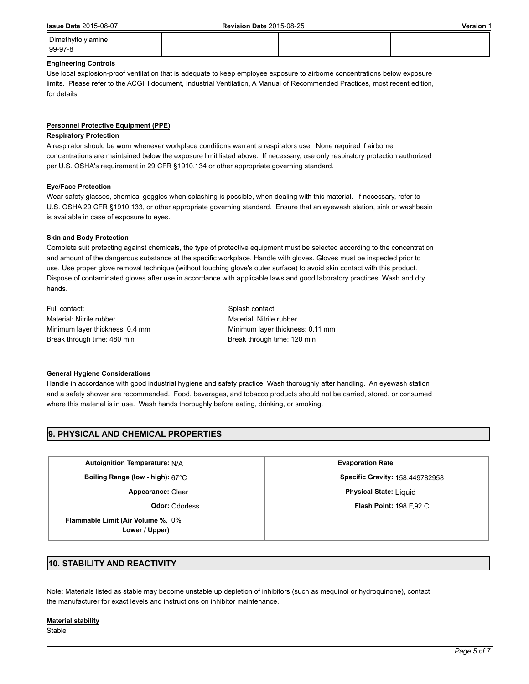Dimethyltolylamine

99-97-8

# **Engineering Controls**

Use local explosion-proof ventilation that is adequate to keep employee exposure to airborne concentrations below exposure limits. Please refer to the ACGIH document, Industrial Ventilation, A Manual of Recommended Practices, most recent edition, for details.

#### **Personnel Protective Equipment (PPE)**

#### **Respiratory Protection**

A respirator should be worn whenever workplace conditions warrant a respirators use. None required if airborne concentrations are maintained below the exposure limit listed above. If necessary, use only respiratory protection authorized per U.S. OSHA's requirement in 29 CFR §1910.134 or other appropriate governing standard.

#### **Eye/Face Protection**

Wear safety glasses, chemical goggles when splashing is possible, when dealing with this material. If necessary, refer to U.S. OSHA 29 CFR §1910.133, or other appropriate governing standard. Ensure that an eyewash station, sink or washbasin is available in case of exposure to eyes.

#### **Skin and Body Protection**

Complete suit protecting against chemicals, the type of protective equipment must be selected according to the concentration and amount of the dangerous substance at the specific workplace. Handle with gloves. Gloves must be inspected prior to use. Use proper glove removal technique (without touching glove's outer surface) to avoid skin contact with this product. Dispose of contaminated gloves after use in accordance with applicable laws and good laboratory practices. Wash and dry hands.

Full contact: Splash contact: Material: Nitrile rubber Material: Nitrile rubber Break through time: 480 min Break through time: 120 min

Minimum layer thickness: 0.4 mm Minimum layer thickness: 0.11 mm

#### **General Hygiene Considerations**

Handle in accordance with good industrial hygiene and safety practice. Wash thoroughly after handling. An eyewash station and a safety shower are recommended. Food, beverages, and tobacco products should not be carried, stored, or consumed where this material is in use. Wash hands thoroughly before eating, drinking, or smoking.

# **9. PHYSICAL AND CHEMICAL PROPERTIES**

**Autoignition Temperature:** N/A **Evaporation Rate**

**Flammable Limit (Air Volume %,** 0% **Lower / Upper)**

**Boiling Range (low - high):** 67°C **Specific Gravity:** 158.449782958 **Appearance:** Clear **Physical State:** Liquid

**Odor:** Odorless **Flash Point:** 198 F.92 C

# **10. STABILITY AND REACTIVITY**

Note: Materials listed as stable may become unstable up depletion of inhibitors (such as mequinol or hydroquinone), contact the manufacturer for exact levels and instructions on inhibitor maintenance.

#### **Material stability**

**Stable**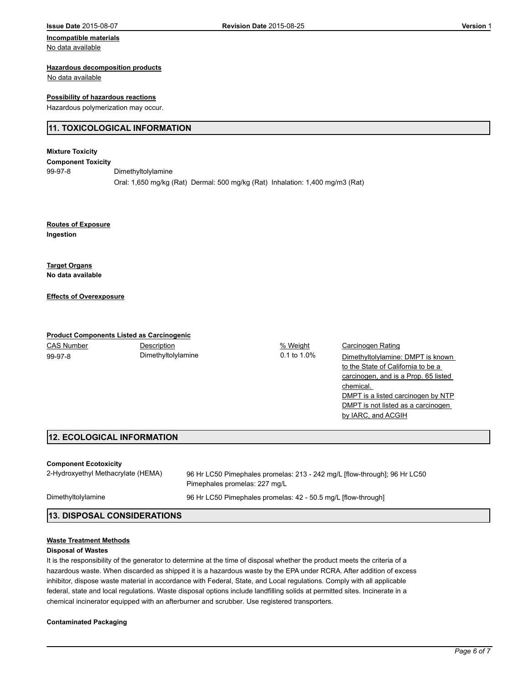# No data available

#### **Hazardous decomposition products**

No data available

#### **Possibility of hazardous reactions**

Hazardous polymerization may occur.

# **11. TOXICOLOGICAL INFORMATION**

# **Mixture Toxicity**

**Component Toxicity**

99-97-8 Dimethyltolylamine Oral: 1,650 mg/kg (Rat) Dermal: 500 mg/kg (Rat) Inhalation: 1,400 mg/m3 (Rat)

**Ingestion Routes of Exposure**

**No data available Target Organs**

**Effects of Overexposure**

# **Product Components Listed as Carcinogenic**

CAS Number **Description Description CAS Number Carcinogen Rating** 99-97-8 Dimethyltolylamine 0.1 to 1.0%

Dimethyltolylamine: DMPT is known to the State of California to be a carcinogen, and is a Prop. 65 listed chemical. DMPT is a listed carcinogen by NTP DMPT is not listed as a carcinogen by IARC, and ACGIH

# **12. ECOLOGICAL INFORMATION**

#### **Component Ecotoxicity**

2-Hydroxyethyl Methacrylate (HEMA) 96 Hr LC50 Pimephales promelas: 213 - 242 mg/L [flow-through]; 96 Hr LC50 Pimephales promelas: 227 mg/L Dimethyltolylamine 96 Hr LC50 Pimephales promelas: 42 - 50.5 mg/L [flow-through] **13. DISPOSAL CONSIDERATIONS**

#### **Waste Treatment Methods**

#### **Disposal of Wastes**

It is the responsibility of the generator to determine at the time of disposal whether the product meets the criteria of a hazardous waste. When discarded as shipped it is a hazardous waste by the EPA under RCRA. After addition of excess inhibitor, dispose waste material in accordance with Federal, State, and Local regulations. Comply with all applicable federal, state and local regulations. Waste disposal options include landfilling solids at permitted sites. Incinerate in a chemical incinerator equipped with an afterburner and scrubber. Use registered transporters.

#### **Contaminated Packaging**